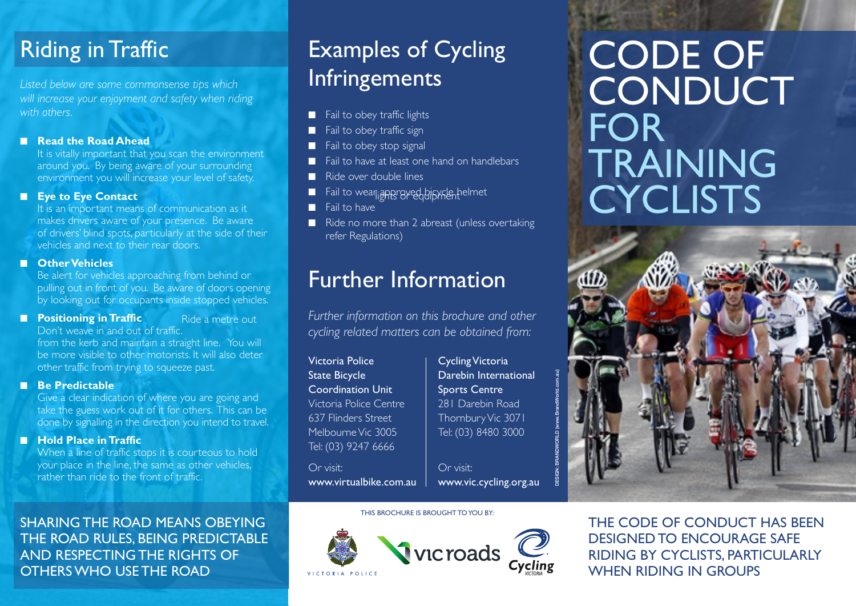# Riding in Traffic

*Listed below are some commonsense tips which will increase your enjoyment and safety when riding with others.* 

## **n Read the Road Ahead**

It is vitally important that you scan the environment around you. By being aware of your surrounding environment you will increase your level of safety.

# **Eye to Eye Contact**

It is an important means of communication as it makes drivers aware of your presence. Be aware of drivers' blind spots, particularly at the side of their vehicles and next to their rear doors.

# n **Other Vehicles**

Be alert for vehicles approaching from behind or pulling out in front of you. Be aware of doors opening by looking out for occupants inside stopped vehicles.

- **n** Positioning in Traffic
	- Don't weave in and out of traffic. Ride a metre out

from the kerb and maintain a straight line. You will be more visible to other motorists. It will also deter other traffic from trying to squeeze past.

### n **Be Predictable**

Give a clear indication of where you are going and take the guess work out of it for others. This can be done by signalling in the direction you intend to travel.

# **n** Hold Place in Traffic

When a line of traffic stops it is courteous to hold your place in the line, the same as other vehicles, rather than ride to the front of traffic.

# SHARING THE ROAD MEANS OBEYING THE ROAD RULES, BEING PREDICTABLE AND RESPECTING THE RIGHTS OF OTHERS WHO USE THE ROAD

# Examples of Cycling Infringements

- Fail to obey traffic lights
- Fail to obey traffic sign
- **n** Fail to obey stop signal
- $\blacksquare$  Fail to have at least one hand on handlebars
- $\blacksquare$  Ride over double lines
- $\blacksquare$  . Fail to wear and Faranger by equipment  $\blacksquare$
- $\blacksquare$  Fail to have
- $\blacksquare$  Ride no more than 2 abreast (unless over taking refer Regulations)

# Further Information

*Further information on this brochure and other cycling related matters can be obtained from:* 

Victoria Police **Cycling Victoria** State Bicycle **Darebin International** Coordination Unit | Sports Centre Victoria Police Centre 281 Darebin Road 637 Flinders Street Thornbury Vic 3071 Melbourne Vic 3005 | Tel: (03) 8480 3000 Tel: (03) 9247 6666

Or visit: Or visit: www.virtualbike.com.au www.vic.cycling.org.au

THIS BROCHURE IS BROUGHT TO YOU BY:

**DESIGN: BRANDWORLD (www.BrandWorld.com.au)** 



# CODE OF **CONDUCT** FOR TRAINING **CYCLISTS**



THE CODE OF CONDUCT HAS BEEN DESIGNED TO ENCOURAGE SAFE RIDING BY CYCLISTS, PARTICULARLY WHEN RIDING IN GROUPS